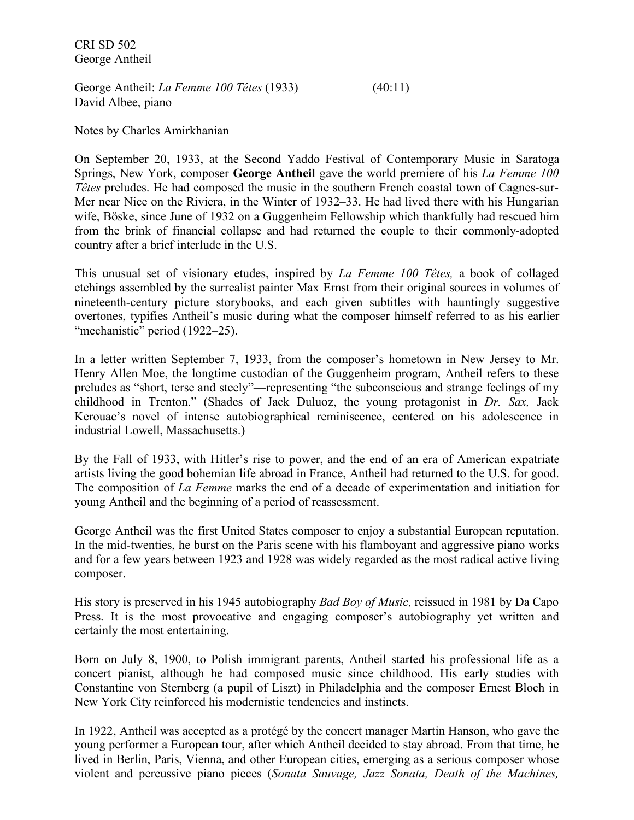CRI SD 502 George Antheil

George Antheil: *La Femme 100 Têtes* (1933) (40:11) David Albee, piano

Notes by Charles Amirkhanian

On September 20, 1933, at the Second Yaddo Festival of Contemporary Music in Saratoga Springs, New York, composer **George Antheil** gave the world premiere of his *La Femme 100 Têtes* preludes. He had composed the music in the southern French coastal town of Cagnes-sur-Mer near Nice on the Riviera, in the Winter of 1932–33. He had lived there with his Hungarian wife, Böske, since June of 1932 on a Guggenheim Fellowship which thankfully had rescued him from the brink of financial collapse and had returned the couple to their commonly-adopted country after a brief interlude in the U.S.

This unusual set of visionary etudes, inspired by *La Femme 100 Têtes,* a book of collaged etchings assembled by the surrealist painter Max Ernst from their original sources in volumes of nineteenth-century picture storybooks, and each given subtitles with hauntingly suggestive overtones, typifies Antheil's music during what the composer himself referred to as his earlier "mechanistic" period (1922–25).

In a letter written September 7, 1933, from the composer's hometown in New Jersey to Mr. Henry Allen Moe, the longtime custodian of the Guggenheim program, Antheil refers to these preludes as "short, terse and steely"—representing "the subconscious and strange feelings of my childhood in Trenton." (Shades of Jack Duluoz, the young protagonist in *Dr. Sax,* Jack Kerouac's novel of intense autobiographical reminiscence, centered on his adolescence in industrial Lowell, Massachusetts.)

By the Fall of 1933, with Hitler's rise to power, and the end of an era of American expatriate artists living the good bohemian life abroad in France, Antheil had returned to the U.S. for good. The composition of *La Femme* marks the end of a decade of experimentation and initiation for young Antheil and the beginning of a period of reassessment.

George Antheil was the first United States composer to enjoy a substantial European reputation. In the mid-twenties, he burst on the Paris scene with his flamboyant and aggressive piano works and for a few years between 1923 and 1928 was widely regarded as the most radical active living composer.

His story is preserved in his 1945 autobiography *Bad Boy of Music,* reissued in 1981 by Da Capo Press. It is the most provocative and engaging composer's autobiography yet written and certainly the most entertaining.

Born on July 8, 1900, to Polish immigrant parents, Antheil started his professional life as a concert pianist, although he had composed music since childhood. His early studies with Constantine von Sternberg (a pupil of Liszt) in Philadelphia and the composer Ernest Bloch in New York City reinforced his modernistic tendencies and instincts.

In 1922, Antheil was accepted as a protégé by the concert manager Martin Hanson, who gave the young performer a European tour, after which Antheil decided to stay abroad. From that time, he lived in Berlin, Paris, Vienna, and other European cities, emerging as a serious composer whose violent and percussive piano pieces (*Sonata Sauvage, Jazz Sonata, Death of the Machines,*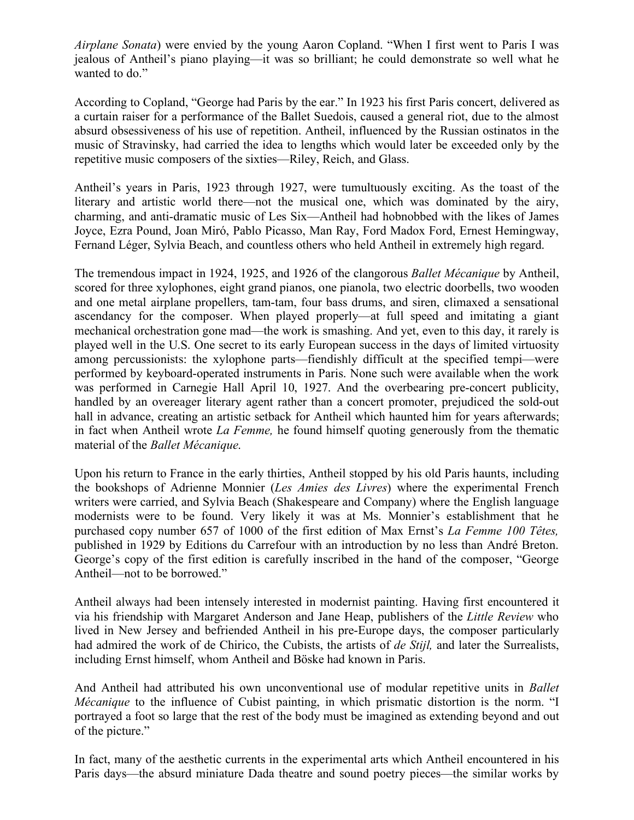*Airplane Sonata*) were envied by the young Aaron Copland. "When I first went to Paris I was jealous of Antheil's piano playing—it was so brilliant; he could demonstrate so well what he wanted to do."

According to Copland, "George had Paris by the ear." In 1923 his first Paris concert, delivered as a curtain raiser for a performance of the Ballet Suedois, caused a general riot, due to the almost absurd obsessiveness of his use of repetition. Antheil, influenced by the Russian ostinatos in the music of Stravinsky, had carried the idea to lengths which would later be exceeded only by the repetitive music composers of the sixties—Riley, Reich, and Glass.

Antheil's years in Paris, 1923 through 1927, were tumultuously exciting. As the toast of the literary and artistic world there—not the musical one, which was dominated by the airy, charming, and anti-dramatic music of Les Six—Antheil had hobnobbed with the likes of James Joyce, Ezra Pound, Joan Miró, Pablo Picasso, Man Ray, Ford Madox Ford, Ernest Hemingway, Fernand Léger, Sylvia Beach, and countless others who held Antheil in extremely high regard.

The tremendous impact in 1924, 1925, and 1926 of the clangorous *Ballet Mécanique* by Antheil, scored for three xylophones, eight grand pianos, one pianola, two electric doorbells, two wooden and one metal airplane propellers, tam-tam, four bass drums, and siren, climaxed a sensational ascendancy for the composer. When played properly—at full speed and imitating a giant mechanical orchestration gone mad—the work is smashing. And yet, even to this day, it rarely is played well in the U.S. One secret to its early European success in the days of limited virtuosity among percussionists: the xylophone parts—fiendishly difficult at the specified tempi—were performed by keyboard-operated instruments in Paris. None such were available when the work was performed in Carnegie Hall April 10, 1927. And the overbearing pre-concert publicity, handled by an overeager literary agent rather than a concert promoter, prejudiced the sold-out hall in advance, creating an artistic setback for Antheil which haunted him for years afterwards; in fact when Antheil wrote *La Femme,* he found himself quoting generously from the thematic material of the *Ballet Mécanique*.

Upon his return to France in the early thirties, Antheil stopped by his old Paris haunts, including the bookshops of Adrienne Monnier (*Les Amies des Livres*) where the experimental French writers were carried, and Sylvia Beach (Shakespeare and Company) where the English language modernists were to be found. Very likely it was at Ms. Monnier's establishment that he purchased copy number 657 of 1000 of the first edition of Max Ernst's *La Femme 100 Têtes,* published in 1929 by Editions du Carrefour with an introduction by no less than André Breton. George's copy of the first edition is carefully inscribed in the hand of the composer, "George Antheil—not to be borrowed."

Antheil always had been intensely interested in modernist painting. Having first encountered it via his friendship with Margaret Anderson and Jane Heap, publishers of the *Little Review* who lived in New Jersey and befriended Antheil in his pre-Europe days, the composer particularly had admired the work of de Chirico, the Cubists, the artists of *de Stijl,* and later the Surrealists, including Ernst himself, whom Antheil and Böske had known in Paris.

And Antheil had attributed his own unconventional use of modular repetitive units in *Ballet Mécanique* to the influence of Cubist painting, in which prismatic distortion is the norm. "I portrayed a foot so large that the rest of the body must be imagined as extending beyond and out of the picture."

In fact, many of the aesthetic currents in the experimental arts which Antheil encountered in his Paris days—the absurd miniature Dada theatre and sound poetry pieces—the similar works by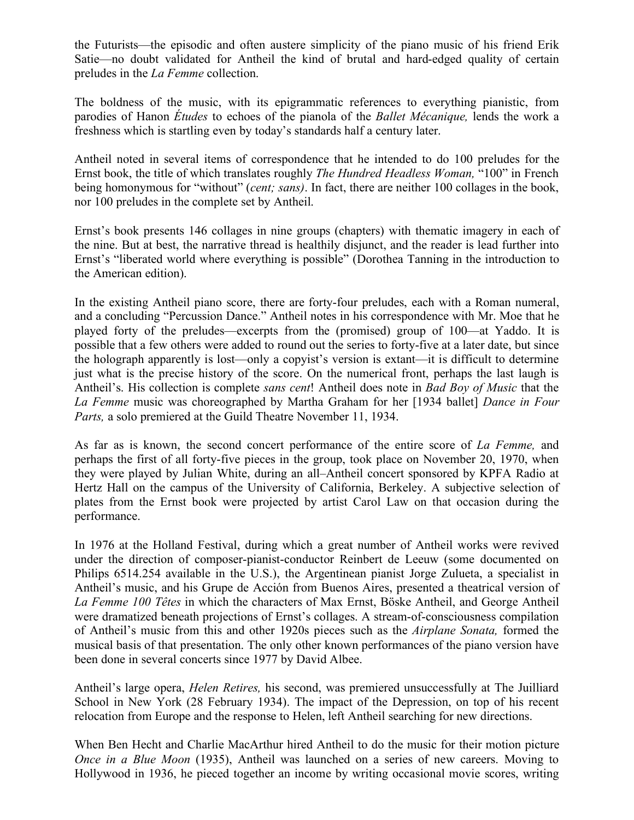the Futurists—the episodic and often austere simplicity of the piano music of his friend Erik Satie—no doubt validated for Antheil the kind of brutal and hard-edged quality of certain preludes in the *La Femme* collection.

The boldness of the music, with its epigrammatic references to everything pianistic, from parodies of Hanon *Études* to echoes of the pianola of the *Ballet Mécanique,* lends the work a freshness which is startling even by today's standards half a century later.

Antheil noted in several items of correspondence that he intended to do 100 preludes for the Ernst book, the title of which translates roughly *The Hundred Headless Woman,* "100" in French being homonymous for "without" (*cent; sans)*. In fact, there are neither 100 collages in the book, nor 100 preludes in the complete set by Antheil.

Ernst's book presents 146 collages in nine groups (chapters) with thematic imagery in each of the nine. But at best, the narrative thread is healthily disjunct, and the reader is lead further into Ernst's "liberated world where everything is possible" (Dorothea Tanning in the introduction to the American edition).

In the existing Antheil piano score, there are forty-four preludes, each with a Roman numeral, and a concluding "Percussion Dance." Antheil notes in his correspondence with Mr. Moe that he played forty of the preludes—excerpts from the (promised) group of 100—at Yaddo. It is possible that a few others were added to round out the series to forty-five at a later date, but since the holograph apparently is lost—only a copyist's version is extant—it is difficult to determine just what is the precise history of the score. On the numerical front, perhaps the last laugh is Antheil's. His collection is complete *sans cent*! Antheil does note in *Bad Boy of Music* that the *La Femme* music was choreographed by Martha Graham for her [1934 ballet] *Dance in Four Parts,* a solo premiered at the Guild Theatre November 11, 1934.

As far as is known, the second concert performance of the entire score of *La Femme,* and perhaps the first of all forty-five pieces in the group, took place on November 20, 1970, when they were played by Julian White, during an all–Antheil concert sponsored by KPFA Radio at Hertz Hall on the campus of the University of California, Berkeley. A subjective selection of plates from the Ernst book were projected by artist Carol Law on that occasion during the performance.

In 1976 at the Holland Festival, during which a great number of Antheil works were revived under the direction of composer-pianist-conductor Reinbert de Leeuw (some documented on Philips 6514.254 available in the U.S.), the Argentinean pianist Jorge Zulueta, a specialist in Antheil's music, and his Grupe de Acción from Buenos Aires, presented a theatrical version of *La Femme 100 Têtes* in which the characters of Max Ernst, Böske Antheil, and George Antheil were dramatized beneath projections of Ernst's collages. A stream-of-consciousness compilation of Antheil's music from this and other 1920s pieces such as the *Airplane Sonata,* formed the musical basis of that presentation. The only other known performances of the piano version have been done in several concerts since 1977 by David Albee.

Antheil's large opera, *Helen Retires,* his second, was premiered unsuccessfully at The Juilliard School in New York (28 February 1934). The impact of the Depression, on top of his recent relocation from Europe and the response to Helen, left Antheil searching for new directions.

When Ben Hecht and Charlie MacArthur hired Antheil to do the music for their motion picture *Once in a Blue Moon* (1935), Antheil was launched on a series of new careers. Moving to Hollywood in 1936, he pieced together an income by writing occasional movie scores, writing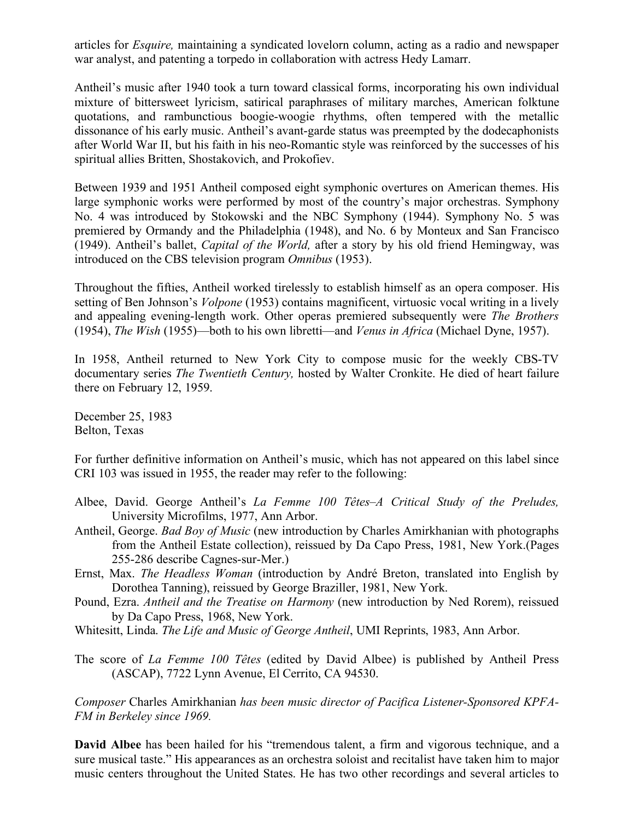articles for *Esquire,* maintaining a syndicated lovelorn column, acting as a radio and newspaper war analyst, and patenting a torpedo in collaboration with actress Hedy Lamarr.

Antheil's music after 1940 took a turn toward classical forms, incorporating his own individual mixture of bittersweet lyricism, satirical paraphrases of military marches, American folktune quotations, and rambunctious boogie-woogie rhythms, often tempered with the metallic dissonance of his early music. Antheil's avant-garde status was preempted by the dodecaphonists after World War II, but his faith in his neo-Romantic style was reinforced by the successes of his spiritual allies Britten, Shostakovich, and Prokofiev.

Between 1939 and 1951 Antheil composed eight symphonic overtures on American themes. His large symphonic works were performed by most of the country's major orchestras. Symphony No. 4 was introduced by Stokowski and the NBC Symphony (1944). Symphony No. 5 was premiered by Ormandy and the Philadelphia (1948), and No. 6 by Monteux and San Francisco (1949). Antheil's ballet, *Capital of the World,* after a story by his old friend Hemingway, was introduced on the CBS television program *Omnibus* (1953).

Throughout the fifties, Antheil worked tirelessly to establish himself as an opera composer. His setting of Ben Johnson's *Volpone* (1953) contains magnificent, virtuosic vocal writing in a lively and appealing evening-length work. Other operas premiered subsequently were *The Brothers*  (1954), *The Wish* (1955)—both to his own libretti—and *Venus in Africa* (Michael Dyne, 1957).

In 1958, Antheil returned to New York City to compose music for the weekly CBS-TV documentary series *The Twentieth Century,* hosted by Walter Cronkite. He died of heart failure there on February 12, 1959.

December 25, 1983 Belton, Texas

For further definitive information on Antheil's music, which has not appeared on this label since CRI 103 was issued in 1955, the reader may refer to the following:

- Albee, David. George Antheil's *La Femme 100 Têtes–A Critical Study of the Preludes,* University Microfilms, 1977, Ann Arbor.
- Antheil, George. *Bad Boy of Music* (new introduction by Charles Amirkhanian with photographs from the Antheil Estate collection), reissued by Da Capo Press, 1981, New York.(Pages 255-286 describe Cagnes-sur-Mer.)
- Ernst, Max. *The Headless Woman* (introduction by André Breton, translated into English by Dorothea Tanning), reissued by George Braziller, 1981, New York.
- Pound, Ezra. *Antheil and the Treatise on Harmony* (new introduction by Ned Rorem), reissued by Da Capo Press, 1968, New York.
- Whitesitt, Linda. *The Life and Music of George Antheil*, UMI Reprints, 1983, Ann Arbor.
- The score of *La Femme 100 Têtes* (edited by David Albee) is published by Antheil Press (ASCAP), 7722 Lynn Avenue, El Cerrito, CA 94530.

*Composer* Charles Amirkhanian *has been music director of Pacifica Listener-Sponsored KPFA-FM in Berkeley since 1969.*

**David Albee** has been hailed for his "tremendous talent, a firm and vigorous technique, and a sure musical taste." His appearances as an orchestra soloist and recitalist have taken him to major music centers throughout the United States. He has two other recordings and several articles to